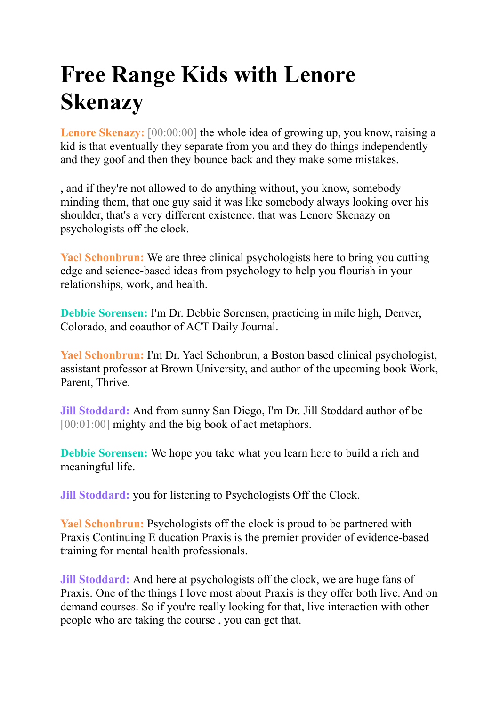## **Free Range Kids with Lenore Skenazy**

**Lenore Skenazy:** [00:00:00] the whole idea of growing up, you know, raising a kid is that eventually they separate from you and they do things independently and they goof and then they bounce back and they make some mistakes.

, and if they're not allowed to do anything without, you know, somebody minding them, that one guy said it was like somebody always looking over his shoulder, that's a very different existence. that was Lenore Skenazy on psychologists off the clock.

**Yael Schonbrun:** We are three clinical psychologists here to bring you cutting edge and science-based ideas from psychology to help you flourish in your relationships, work, and health.

**Debbie Sorensen:** I'm Dr. Debbie Sorensen, practicing in mile high, Denver, Colorado, and coauthor of ACT Daily Journal.

**Yael Schonbrun:** I'm Dr. Yael Schonbrun, a Boston based clinical psychologist, assistant professor at Brown University, and author of the upcoming book Work, Parent, Thrive.

**Jill Stoddard:** And from sunny San Diego, I'm Dr. Jill Stoddard author of be [00:01:00] mighty and the big book of act metaphors.

**Debbie Sorensen:** We hope you take what you learn here to build a rich and meaningful life.

**Jill Stoddard:** you for listening to Psychologists Off the Clock.

**Yael Schonbrun:** Psychologists off the clock is proud to be partnered with Praxis Continuing E ducation Praxis is the premier provider of evidence-based training for mental health professionals.

**Jill Stoddard:** And here at psychologists off the clock, we are huge fans of Praxis. One of the things I love most about Praxis is they offer both live. And on demand courses. So if you're really looking for that, live interaction with other people who are taking the course , you can get that.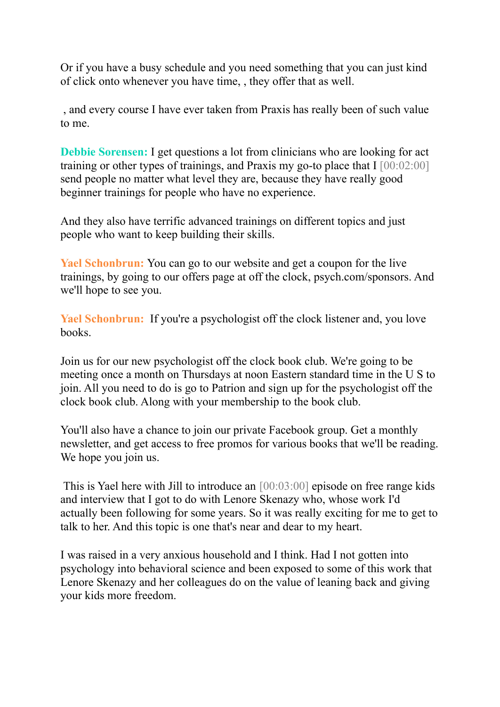Or if you have a busy schedule and you need something that you can just kind of click onto whenever you have time, , they offer that as well.

, and every course I have ever taken from Praxis has really been of such value to me.

**Debbie Sorensen:** I get questions a lot from clinicians who are looking for act training or other types of trainings, and Praxis my go-to place that I  $[00:02:00]$ send people no matter what level they are, because they have really good beginner trainings for people who have no experience.

And they also have terrific advanced trainings on different topics and just people who want to keep building their skills.

**Yael Schonbrun:** You can go to our website and get a coupon for the live trainings, by going to our offers page at off the clock, psych.com/sponsors. And we'll hope to see you.

Yael Schonbrun: If you're a psychologist off the clock listener and, you love books.

Join us for our new psychologist off the clock book club. We're going to be meeting once a month on Thursdays at noon Eastern standard time in the U S to join. All you need to do is go to Patrion and sign up for the psychologist off the clock book club. Along with your membership to the book club.

You'll also have a chance to join our private Facebook group. Get a monthly newsletter, and get access to free promos for various books that we'll be reading. We hope you join us.

This is Yael here with Jill to introduce an [00:03:00] episode on free range kids and interview that I got to do with Lenore Skenazy who, whose work I'd actually been following for some years. So it was really exciting for me to get to talk to her. And this topic is one that's near and dear to my heart.

I was raised in a very anxious household and I think. Had I not gotten into psychology into behavioral science and been exposed to some of this work that Lenore Skenazy and her colleagues do on the value of leaning back and giving your kids more freedom.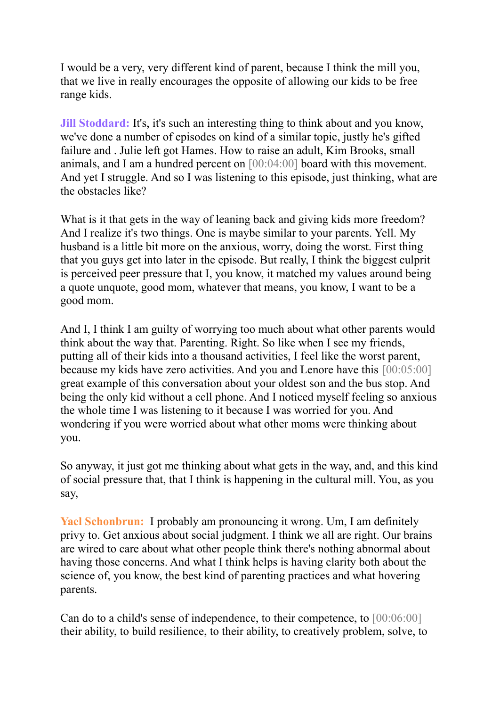I would be a very, very different kind of parent, because I think the mill you, that we live in really encourages the opposite of allowing our kids to be free range kids.

**Jill Stoddard:** It's, it's such an interesting thing to think about and you know, we've done a number of episodes on kind of a similar topic, justly he's gifted failure and . Julie left got Hames. How to raise an adult, Kim Brooks, small animals, and I am a hundred percent on [00:04:00] board with this movement. And yet I struggle. And so I was listening to this episode, just thinking, what are the obstacles like?

What is it that gets in the way of leaning back and giving kids more freedom? And I realize it's two things. One is maybe similar to your parents. Yell. My husband is a little bit more on the anxious, worry, doing the worst. First thing that you guys get into later in the episode. But really, I think the biggest culprit is perceived peer pressure that I, you know, it matched my values around being a quote unquote, good mom, whatever that means, you know, I want to be a good mom.

And I, I think I am guilty of worrying too much about what other parents would think about the way that. Parenting. Right. So like when I see my friends, putting all of their kids into a thousand activities, I feel like the worst parent, because my kids have zero activities. And you and Lenore have this [00:05:00] great example of this conversation about your oldest son and the bus stop. And being the only kid without a cell phone. And I noticed myself feeling so anxious the whole time I was listening to it because I was worried for you. And wondering if you were worried about what other moms were thinking about you.

So anyway, it just got me thinking about what gets in the way, and, and this kind of social pressure that, that I think is happening in the cultural mill. You, as you say,

**Yael Schonbrun:** I probably am pronouncing it wrong. Um, I am definitely privy to. Get anxious about social judgment. I think we all are right. Our brains are wired to care about what other people think there's nothing abnormal about having those concerns. And what I think helps is having clarity both about the science of, you know, the best kind of parenting practices and what hovering parents.

Can do to a child's sense of independence, to their competence, to [00:06:00] their ability, to build resilience, to their ability, to creatively problem, solve, to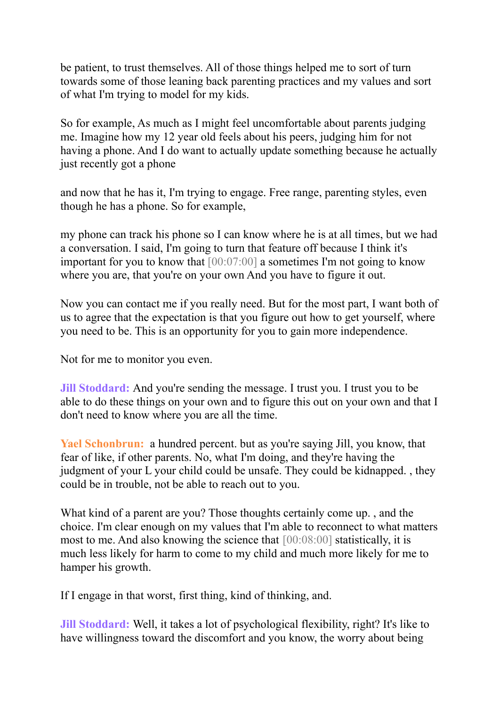be patient, to trust themselves. All of those things helped me to sort of turn towards some of those leaning back parenting practices and my values and sort of what I'm trying to model for my kids.

So for example, As much as I might feel uncomfortable about parents judging me. Imagine how my 12 year old feels about his peers, judging him for not having a phone. And I do want to actually update something because he actually just recently got a phone

and now that he has it, I'm trying to engage. Free range, parenting styles, even though he has a phone. So for example,

my phone can track his phone so I can know where he is at all times, but we had a conversation. I said, I'm going to turn that feature off because I think it's important for you to know that [00:07:00] a sometimes I'm not going to know where you are, that you're on your own And you have to figure it out.

Now you can contact me if you really need. But for the most part, I want both of us to agree that the expectation is that you figure out how to get yourself, where you need to be. This is an opportunity for you to gain more independence.

Not for me to monitor you even.

**Jill Stoddard:** And you're sending the message. I trust you. I trust you to be able to do these things on your own and to figure this out on your own and that I don't need to know where you are all the time.

**Yael Schonbrun:** a hundred percent. but as you're saying Jill, you know, that fear of like, if other parents. No, what I'm doing, and they're having the judgment of your L your child could be unsafe. They could be kidnapped. , they could be in trouble, not be able to reach out to you.

What kind of a parent are you? Those thoughts certainly come up. , and the choice. I'm clear enough on my values that I'm able to reconnect to what matters most to me. And also knowing the science that [00:08:00] statistically, it is much less likely for harm to come to my child and much more likely for me to hamper his growth.

If I engage in that worst, first thing, kind of thinking, and.

**Jill Stoddard:** Well, it takes a lot of psychological flexibility, right? It's like to have willingness toward the discomfort and you know, the worry about being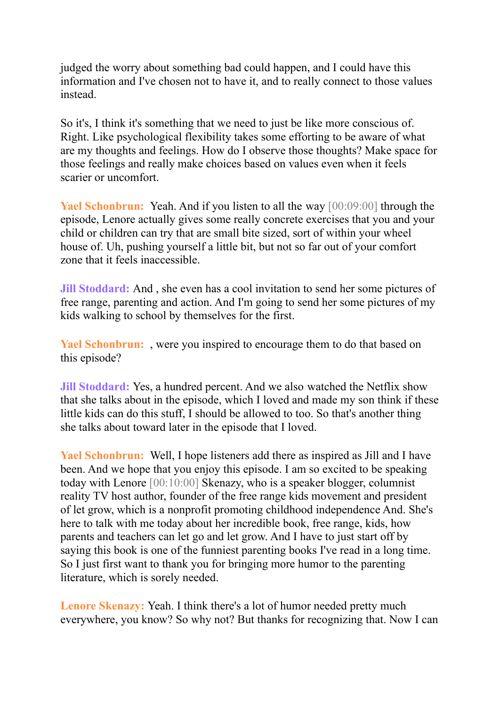judged the worry about something bad could happen, and I could have this information and I've chosen not to have it, and to really connect to those values instead.

So it's, I think it's something that we need to just be like more conscious of. Right. Like psychological flexibility takes some efforting to be aware of what are my thoughts and feelings. How do I observe those thoughts? Make space for those feelings and really make choices based on values even when it feels scarier or uncomfort.

**Yael Schonbrun:** Yeah. And if you listen to all the way [00:09:00] through the episode, Lenore actually gives some really concrete exercises that you and your child or children can try that are small bite sized, sort of within your wheel house of. Uh, pushing yourself a little bit, but not so far out of your comfort zone that it feels inaccessible.

**Jill Stoddard:** And , she even has a cool invitation to send her some pictures of free range, parenting and action. And I'm going to send her some pictures of my kids walking to school by themselves for the first.

**Yael Schonbrun:** , were you inspired to encourage them to do that based on this episode?

**Jill Stoddard:** Yes, a hundred percent. And we also watched the Netflix show that she talks about in the episode, which I loved and made my son think if these little kids can do this stuff, I should be allowed to too. So that's another thing she talks about toward later in the episode that I loved.

**Yael Schonbrun:** Well, I hope listeners add there as inspired as Jill and I have been. And we hope that you enjoy this episode. I am so excited to be speaking today with Lenore [00:10:00] Skenazy, who is a speaker blogger, columnist reality TV host author, founder of the free range kids movement and president of let grow, which is a nonprofit promoting childhood independence And. She's here to talk with me today about her incredible book, free range, kids, how parents and teachers can let go and let grow. And I have to just start off by saying this book is one of the funniest parenting books I've read in a long time. So I just first want to thank you for bringing more humor to the parenting literature, which is sorely needed.

**Lenore Skenazy:** Yeah. I think there's a lot of humor needed pretty much everywhere, you know? So why not? But thanks for recognizing that. Now I can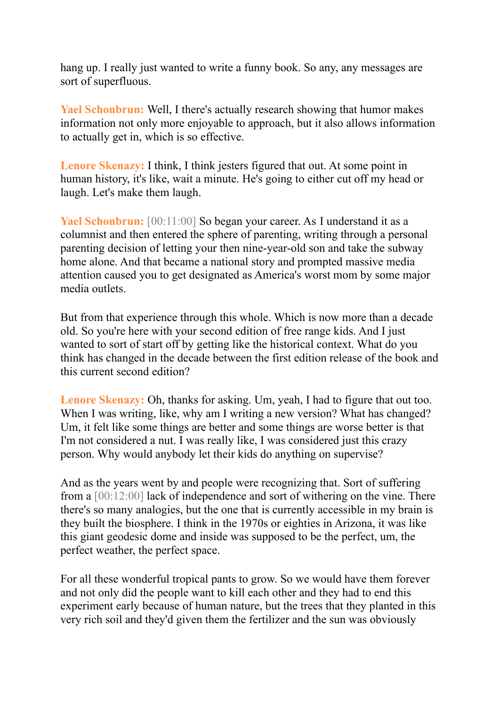hang up. I really just wanted to write a funny book. So any, any messages are sort of superfluous.

**Yael Schonbrun:** Well, I there's actually research showing that humor makes information not only more enjoyable to approach, but it also allows information to actually get in, which is so effective.

**Lenore Skenazy:** I think, I think jesters figured that out. At some point in human history, it's like, wait a minute. He's going to either cut off my head or laugh. Let's make them laugh.

**Yael Schonbrun:** [00:11:00] So began your career. As I understand it as a columnist and then entered the sphere of parenting, writing through a personal parenting decision of letting your then nine-year-old son and take the subway home alone. And that became a national story and prompted massive media attention caused you to get designated as America's worst mom by some major media outlets.

But from that experience through this whole. Which is now more than a decade old. So you're here with your second edition of free range kids. And I just wanted to sort of start off by getting like the historical context. What do you think has changed in the decade between the first edition release of the book and this current second edition?

**Lenore Skenazy:** Oh, thanks for asking. Um, yeah, I had to figure that out too. When I was writing, like, why am I writing a new version? What has changed? Um, it felt like some things are better and some things are worse better is that I'm not considered a nut. I was really like, I was considered just this crazy person. Why would anybody let their kids do anything on supervise?

And as the years went by and people were recognizing that. Sort of suffering from a [00:12:00] lack of independence and sort of withering on the vine. There there's so many analogies, but the one that is currently accessible in my brain is they built the biosphere. I think in the 1970s or eighties in Arizona, it was like this giant geodesic dome and inside was supposed to be the perfect, um, the perfect weather, the perfect space.

For all these wonderful tropical pants to grow. So we would have them forever and not only did the people want to kill each other and they had to end this experiment early because of human nature, but the trees that they planted in this very rich soil and they'd given them the fertilizer and the sun was obviously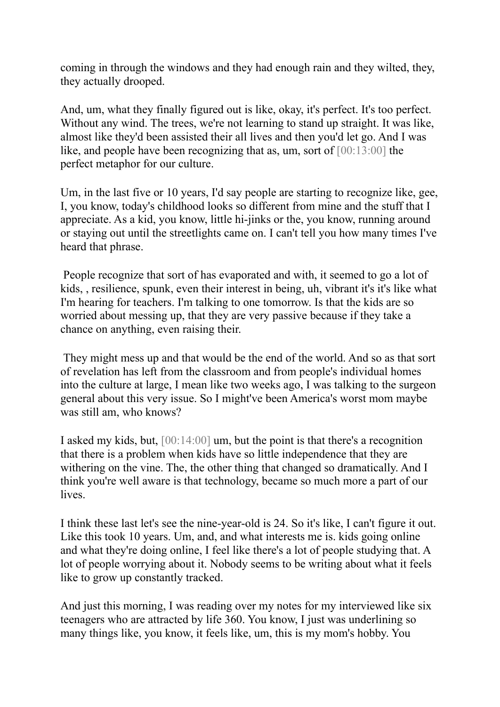coming in through the windows and they had enough rain and they wilted, they, they actually drooped.

And, um, what they finally figured out is like, okay, it's perfect. It's too perfect. Without any wind. The trees, we're not learning to stand up straight. It was like, almost like they'd been assisted their all lives and then you'd let go. And I was like, and people have been recognizing that as, um, sort of [00:13:00] the perfect metaphor for our culture.

Um, in the last five or 10 years, I'd say people are starting to recognize like, gee, I, you know, today's childhood looks so different from mine and the stuff that I appreciate. As a kid, you know, little hi-jinks or the, you know, running around or staying out until the streetlights came on. I can't tell you how many times I've heard that phrase.

People recognize that sort of has evaporated and with, it seemed to go a lot of kids, , resilience, spunk, even their interest in being, uh, vibrant it's it's like what I'm hearing for teachers. I'm talking to one tomorrow. Is that the kids are so worried about messing up, that they are very passive because if they take a chance on anything, even raising their.

They might mess up and that would be the end of the world. And so as that sort of revelation has left from the classroom and from people's individual homes into the culture at large, I mean like two weeks ago, I was talking to the surgeon general about this very issue. So I might've been America's worst mom maybe was still am, who knows?

I asked my kids, but, [00:14:00] um, but the point is that there's a recognition that there is a problem when kids have so little independence that they are withering on the vine. The, the other thing that changed so dramatically. And I think you're well aware is that technology, became so much more a part of our lives.

I think these last let's see the nine-year-old is 24. So it's like, I can't figure it out. Like this took 10 years. Um, and, and what interests me is. kids going online and what they're doing online, I feel like there's a lot of people studying that. A lot of people worrying about it. Nobody seems to be writing about what it feels like to grow up constantly tracked.

And just this morning, I was reading over my notes for my interviewed like six teenagers who are attracted by life 360. You know, I just was underlining so many things like, you know, it feels like, um, this is my mom's hobby. You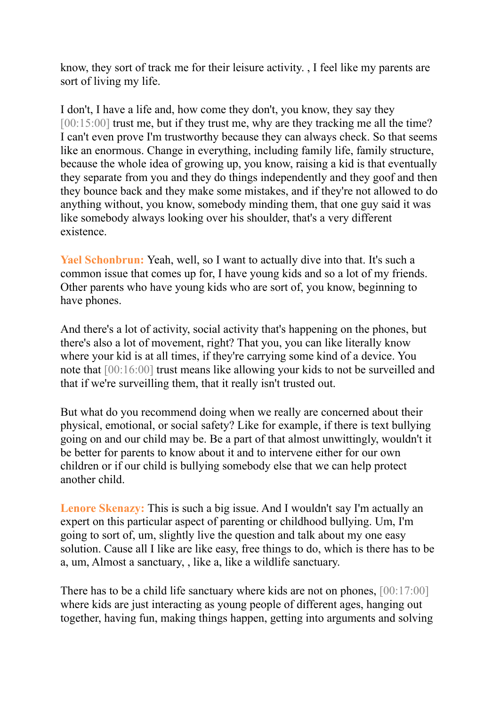know, they sort of track me for their leisure activity. , I feel like my parents are sort of living my life.

I don't, I have a life and, how come they don't, you know, they say they [00:15:00] trust me, but if they trust me, why are they tracking me all the time? I can't even prove I'm trustworthy because they can always check. So that seems like an enormous. Change in everything, including family life, family structure, because the whole idea of growing up, you know, raising a kid is that eventually they separate from you and they do things independently and they goof and then they bounce back and they make some mistakes, and if they're not allowed to do anything without, you know, somebody minding them, that one guy said it was like somebody always looking over his shoulder, that's a very different existence.

**Yael Schonbrun:** Yeah, well, so I want to actually dive into that. It's such a common issue that comes up for, I have young kids and so a lot of my friends. Other parents who have young kids who are sort of, you know, beginning to have phones.

And there's a lot of activity, social activity that's happening on the phones, but there's also a lot of movement, right? That you, you can like literally know where your kid is at all times, if they're carrying some kind of a device. You note that [00:16:00] trust means like allowing your kids to not be surveilled and that if we're surveilling them, that it really isn't trusted out.

But what do you recommend doing when we really are concerned about their physical, emotional, or social safety? Like for example, if there is text bullying going on and our child may be. Be a part of that almost unwittingly, wouldn't it be better for parents to know about it and to intervene either for our own children or if our child is bullying somebody else that we can help protect another child.

**Lenore Skenazy:** This is such a big issue. And I wouldn't say I'm actually an expert on this particular aspect of parenting or childhood bullying. Um, I'm going to sort of, um, slightly live the question and talk about my one easy solution. Cause all I like are like easy, free things to do, which is there has to be a, um, Almost a sanctuary, , like a, like a wildlife sanctuary.

There has to be a child life sanctuary where kids are not on phones, [00:17:00] where kids are just interacting as young people of different ages, hanging out together, having fun, making things happen, getting into arguments and solving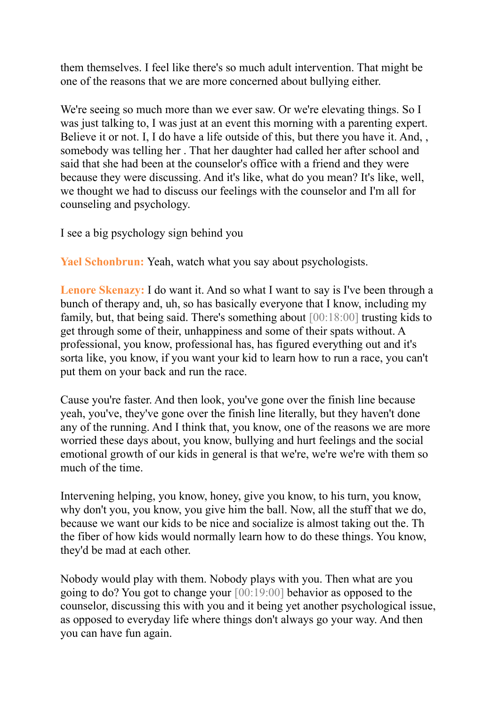them themselves. I feel like there's so much adult intervention. That might be one of the reasons that we are more concerned about bullying either.

We're seeing so much more than we ever saw. Or we're elevating things. So I was just talking to, I was just at an event this morning with a parenting expert. Believe it or not. I, I do have a life outside of this, but there you have it. And, somebody was telling her . That her daughter had called her after school and said that she had been at the counselor's office with a friend and they were because they were discussing. And it's like, what do you mean? It's like, well, we thought we had to discuss our feelings with the counselor and I'm all for counseling and psychology.

I see a big psychology sign behind you

**Yael Schonbrun:** Yeah, watch what you say about psychologists.

**Lenore Skenazy:** I do want it. And so what I want to say is I've been through a bunch of therapy and, uh, so has basically everyone that I know, including my family, but, that being said. There's something about [00:18:00] trusting kids to get through some of their, unhappiness and some of their spats without. A professional, you know, professional has, has figured everything out and it's sorta like, you know, if you want your kid to learn how to run a race, you can't put them on your back and run the race.

Cause you're faster. And then look, you've gone over the finish line because yeah, you've, they've gone over the finish line literally, but they haven't done any of the running. And I think that, you know, one of the reasons we are more worried these days about, you know, bullying and hurt feelings and the social emotional growth of our kids in general is that we're, we're we're with them so much of the time.

Intervening helping, you know, honey, give you know, to his turn, you know, why don't you, you know, you give him the ball. Now, all the stuff that we do, because we want our kids to be nice and socialize is almost taking out the. Th the fiber of how kids would normally learn how to do these things. You know, they'd be mad at each other.

Nobody would play with them. Nobody plays with you. Then what are you going to do? You got to change your [00:19:00] behavior as opposed to the counselor, discussing this with you and it being yet another psychological issue, as opposed to everyday life where things don't always go your way. And then you can have fun again.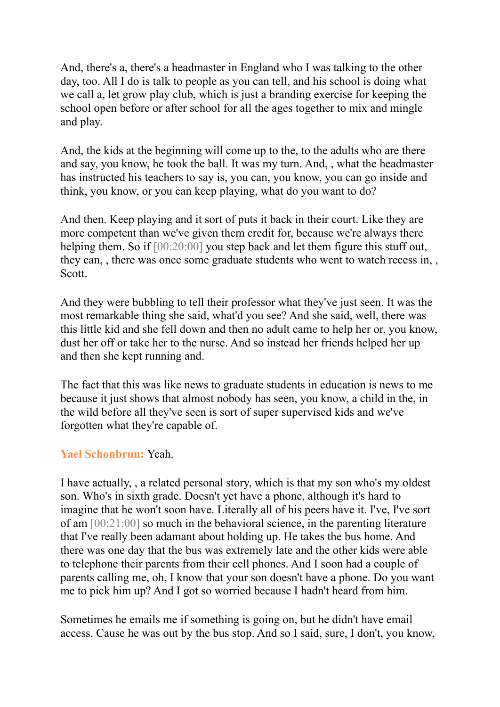And, there's a, there's a headmaster in England who I was talking to the other day, too. All I do is talk to people as you can tell, and his school is doing what we call a, let grow play club, which is just a branding exercise for keeping the school open before or after school for all the ages together to mix and mingle and play.

And, the kids at the beginning will come up to the, to the adults who are there and say, you know, he took the ball. It was my turn. And, , what the headmaster has instructed his teachers to say is, you can, you know, you can go inside and think, you know, or you can keep playing, what do you want to do?

And then. Keep playing and it sort of puts it back in their court. Like they are more competent than we've given them credit for, because we're always there helping them. So if  $[00:20:00]$  you step back and let them figure this stuff out, they can, , there was once some graduate students who went to watch recess in, , Scott.

And they were bubbling to tell their professor what they've just seen. It was the most remarkable thing she said, what'd you see? And she said, well, there was this little kid and she fell down and then no adult came to help her or, you know, dust her off or take her to the nurse. And so instead her friends helped her up and then she kept running and.

The fact that this was like news to graduate students in education is news to me because it just shows that almost nobody has seen, you know, a child in the, in the wild before all they've seen is sort of super supervised kids and we've forgotten what they're capable of.

## **Yael Schonbrun:** Yeah.

I have actually, , a related personal story, which is that my son who's my oldest son. Who's in sixth grade. Doesn't yet have a phone, although it's hard to imagine that he won't soon have. Literally all of his peers have it. I've, I've sort of am [00:21:00] so much in the behavioral science, in the parenting literature that I've really been adamant about holding up. He takes the bus home. And there was one day that the bus was extremely late and the other kids were able to telephone their parents from their cell phones. And I soon had a couple of parents calling me, oh, I know that your son doesn't have a phone. Do you want me to pick him up? And I got so worried because I hadn't heard from him.

Sometimes he emails me if something is going on, but he didn't have email access. Cause he was out by the bus stop. And so I said, sure, I don't, you know,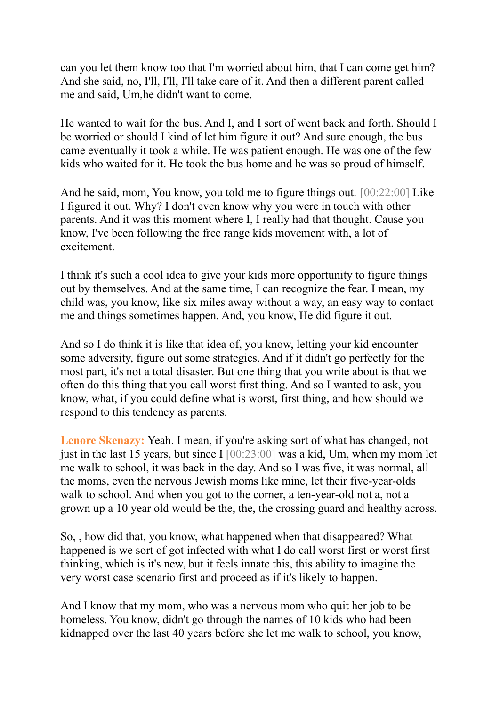can you let them know too that I'm worried about him, that I can come get him? And she said, no, I'll, I'll, I'll take care of it. And then a different parent called me and said, Um,he didn't want to come.

He wanted to wait for the bus. And I, and I sort of went back and forth. Should I be worried or should I kind of let him figure it out? And sure enough, the bus came eventually it took a while. He was patient enough. He was one of the few kids who waited for it. He took the bus home and he was so proud of himself.

And he said, mom, You know, you told me to figure things out. [00:22:00] Like I figured it out. Why? I don't even know why you were in touch with other parents. And it was this moment where I, I really had that thought. Cause you know, I've been following the free range kids movement with, a lot of excitement.

I think it's such a cool idea to give your kids more opportunity to figure things out by themselves. And at the same time, I can recognize the fear. I mean, my child was, you know, like six miles away without a way, an easy way to contact me and things sometimes happen. And, you know, He did figure it out.

And so I do think it is like that idea of, you know, letting your kid encounter some adversity, figure out some strategies. And if it didn't go perfectly for the most part, it's not a total disaster. But one thing that you write about is that we often do this thing that you call worst first thing. And so I wanted to ask, you know, what, if you could define what is worst, first thing, and how should we respond to this tendency as parents.

Lenore Skenazy: Yeah. I mean, if you're asking sort of what has changed, not just in the last 15 years, but since I  $[00:23:00]$  was a kid, Um, when my mom let me walk to school, it was back in the day. And so I was five, it was normal, all the moms, even the nervous Jewish moms like mine, let their five-year-olds walk to school. And when you got to the corner, a ten-year-old not a, not a grown up a 10 year old would be the, the, the crossing guard and healthy across.

So, , how did that, you know, what happened when that disappeared? What happened is we sort of got infected with what I do call worst first or worst first thinking, which is it's new, but it feels innate this, this ability to imagine the very worst case scenario first and proceed as if it's likely to happen.

And I know that my mom, who was a nervous mom who quit her job to be homeless. You know, didn't go through the names of 10 kids who had been kidnapped over the last 40 years before she let me walk to school, you know,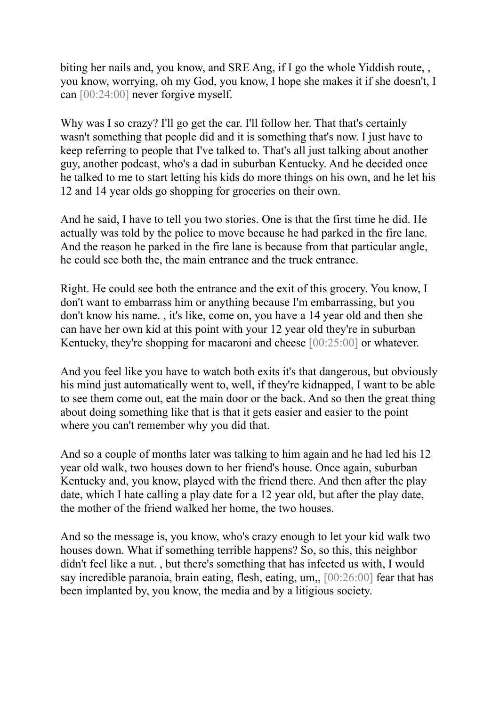biting her nails and, you know, and SRE Ang, if I go the whole Yiddish route, , you know, worrying, oh my God, you know, I hope she makes it if she doesn't, I can [00:24:00] never forgive myself.

Why was I so crazy? I'll go get the car. I'll follow her. That that's certainly wasn't something that people did and it is something that's now. I just have to keep referring to people that I've talked to. That's all just talking about another guy, another podcast, who's a dad in suburban Kentucky. And he decided once he talked to me to start letting his kids do more things on his own, and he let his 12 and 14 year olds go shopping for groceries on their own.

And he said, I have to tell you two stories. One is that the first time he did. He actually was told by the police to move because he had parked in the fire lane. And the reason he parked in the fire lane is because from that particular angle, he could see both the, the main entrance and the truck entrance.

Right. He could see both the entrance and the exit of this grocery. You know, I don't want to embarrass him or anything because I'm embarrassing, but you don't know his name. , it's like, come on, you have a 14 year old and then she can have her own kid at this point with your 12 year old they're in suburban Kentucky, they're shopping for macaroni and cheese [00:25:00] or whatever.

And you feel like you have to watch both exits it's that dangerous, but obviously his mind just automatically went to, well, if they're kidnapped, I want to be able to see them come out, eat the main door or the back. And so then the great thing about doing something like that is that it gets easier and easier to the point where you can't remember why you did that.

And so a couple of months later was talking to him again and he had led his 12 year old walk, two houses down to her friend's house. Once again, suburban Kentucky and, you know, played with the friend there. And then after the play date, which I hate calling a play date for a 12 year old, but after the play date, the mother of the friend walked her home, the two houses.

And so the message is, you know, who's crazy enough to let your kid walk two houses down. What if something terrible happens? So, so this, this neighbor didn't feel like a nut. , but there's something that has infected us with, I would say incredible paranoia, brain eating, flesh, eating, um,, [00:26:00] fear that has been implanted by, you know, the media and by a litigious society.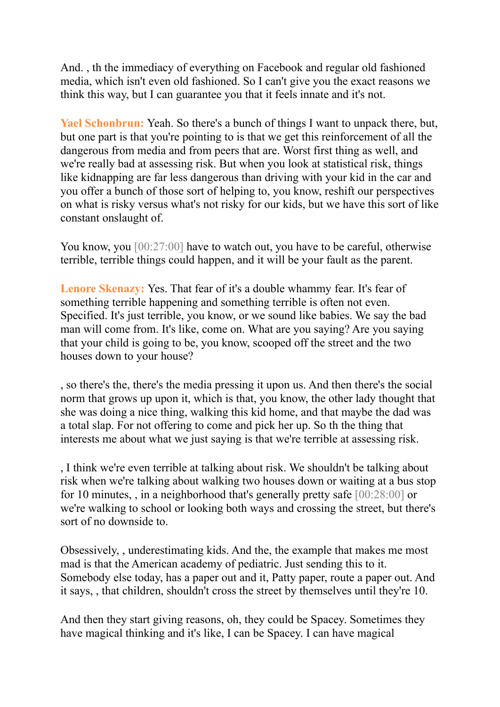And. , th the immediacy of everything on Facebook and regular old fashioned media, which isn't even old fashioned. So I can't give you the exact reasons we think this way, but I can guarantee you that it feels innate and it's not.

**Yael Schonbrun:** Yeah. So there's a bunch of things I want to unpack there, but, but one part is that you're pointing to is that we get this reinforcement of all the dangerous from media and from peers that are. Worst first thing as well, and we're really bad at assessing risk. But when you look at statistical risk, things like kidnapping are far less dangerous than driving with your kid in the car and you offer a bunch of those sort of helping to, you know, reshift our perspectives on what is risky versus what's not risky for our kids, but we have this sort of like constant onslaught of.

You know, you [00:27:00] have to watch out, you have to be careful, otherwise terrible, terrible things could happen, and it will be your fault as the parent.

**Lenore Skenazy:** Yes. That fear of it's a double whammy fear. It's fear of something terrible happening and something terrible is often not even. Specified. It's just terrible, you know, or we sound like babies. We say the bad man will come from. It's like, come on. What are you saying? Are you saying that your child is going to be, you know, scooped off the street and the two houses down to your house?

, so there's the, there's the media pressing it upon us. And then there's the social norm that grows up upon it, which is that, you know, the other lady thought that she was doing a nice thing, walking this kid home, and that maybe the dad was a total slap. For not offering to come and pick her up. So th the thing that interests me about what we just saying is that we're terrible at assessing risk.

, I think we're even terrible at talking about risk. We shouldn't be talking about risk when we're talking about walking two houses down or waiting at a bus stop for 10 minutes, , in a neighborhood that's generally pretty safe [00:28:00] or we're walking to school or looking both ways and crossing the street, but there's sort of no downside to.

Obsessively, , underestimating kids. And the, the example that makes me most mad is that the American academy of pediatric. Just sending this to it. Somebody else today, has a paper out and it, Patty paper, route a paper out. And it says, , that children, shouldn't cross the street by themselves until they're 10.

And then they start giving reasons, oh, they could be Spacey. Sometimes they have magical thinking and it's like, I can be Spacey. I can have magical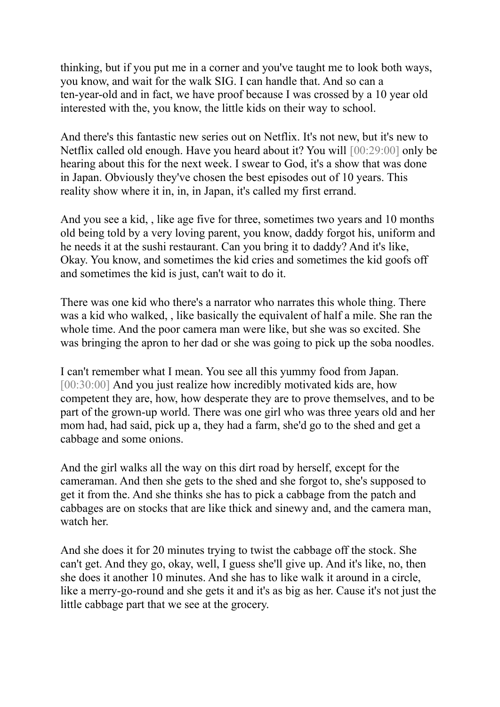thinking, but if you put me in a corner and you've taught me to look both ways, you know, and wait for the walk SIG. I can handle that. And so can a ten-year-old and in fact, we have proof because I was crossed by a 10 year old interested with the, you know, the little kids on their way to school.

And there's this fantastic new series out on Netflix. It's not new, but it's new to Netflix called old enough. Have you heard about it? You will [00:29:00] only be hearing about this for the next week. I swear to God, it's a show that was done in Japan. Obviously they've chosen the best episodes out of 10 years. This reality show where it in, in, in Japan, it's called my first errand.

And you see a kid, , like age five for three, sometimes two years and 10 months old being told by a very loving parent, you know, daddy forgot his, uniform and he needs it at the sushi restaurant. Can you bring it to daddy? And it's like, Okay. You know, and sometimes the kid cries and sometimes the kid goofs off and sometimes the kid is just, can't wait to do it.

There was one kid who there's a narrator who narrates this whole thing. There was a kid who walked, , like basically the equivalent of half a mile. She ran the whole time. And the poor camera man were like, but she was so excited. She was bringing the apron to her dad or she was going to pick up the soba noodles.

I can't remember what I mean. You see all this yummy food from Japan. [00:30:00] And you just realize how incredibly motivated kids are, how competent they are, how, how desperate they are to prove themselves, and to be part of the grown-up world. There was one girl who was three years old and her mom had, had said, pick up a, they had a farm, she'd go to the shed and get a cabbage and some onions.

And the girl walks all the way on this dirt road by herself, except for the cameraman. And then she gets to the shed and she forgot to, she's supposed to get it from the. And she thinks she has to pick a cabbage from the patch and cabbages are on stocks that are like thick and sinewy and, and the camera man, watch her.

And she does it for 20 minutes trying to twist the cabbage off the stock. She can't get. And they go, okay, well, I guess she'll give up. And it's like, no, then she does it another 10 minutes. And she has to like walk it around in a circle, like a merry-go-round and she gets it and it's as big as her. Cause it's not just the little cabbage part that we see at the grocery.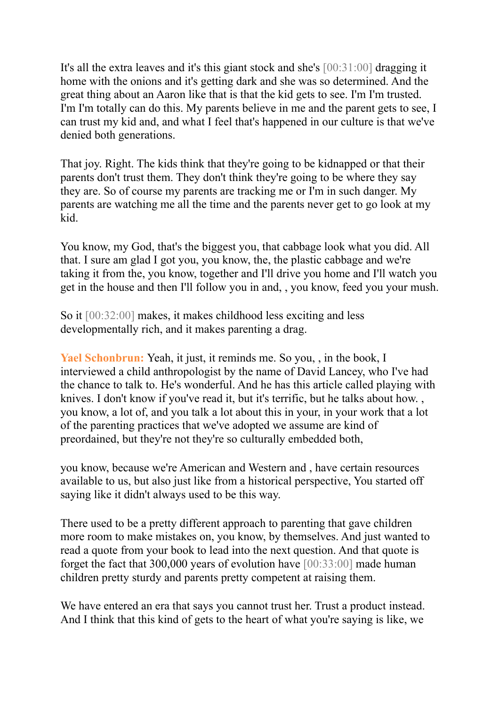It's all the extra leaves and it's this giant stock and she's [00:31:00] dragging it home with the onions and it's getting dark and she was so determined. And the great thing about an Aaron like that is that the kid gets to see. I'm I'm trusted. I'm I'm totally can do this. My parents believe in me and the parent gets to see, I can trust my kid and, and what I feel that's happened in our culture is that we've denied both generations.

That joy. Right. The kids think that they're going to be kidnapped or that their parents don't trust them. They don't think they're going to be where they say they are. So of course my parents are tracking me or I'm in such danger. My parents are watching me all the time and the parents never get to go look at my kid.

You know, my God, that's the biggest you, that cabbage look what you did. All that. I sure am glad I got you, you know, the, the plastic cabbage and we're taking it from the, you know, together and I'll drive you home and I'll watch you get in the house and then I'll follow you in and, , you know, feed you your mush.

So it [00:32:00] makes, it makes childhood less exciting and less developmentally rich, and it makes parenting a drag.

**Yael Schonbrun:** Yeah, it just, it reminds me. So you, , in the book, I interviewed a child anthropologist by the name of David Lancey, who I've had the chance to talk to. He's wonderful. And he has this article called playing with knives. I don't know if you've read it, but it's terrific, but he talks about how. , you know, a lot of, and you talk a lot about this in your, in your work that a lot of the parenting practices that we've adopted we assume are kind of preordained, but they're not they're so culturally embedded both,

you know, because we're American and Western and , have certain resources available to us, but also just like from a historical perspective, You started off saying like it didn't always used to be this way.

There used to be a pretty different approach to parenting that gave children more room to make mistakes on, you know, by themselves. And just wanted to read a quote from your book to lead into the next question. And that quote is forget the fact that 300,000 years of evolution have [00:33:00] made human children pretty sturdy and parents pretty competent at raising them.

We have entered an era that says you cannot trust her. Trust a product instead. And I think that this kind of gets to the heart of what you're saying is like, we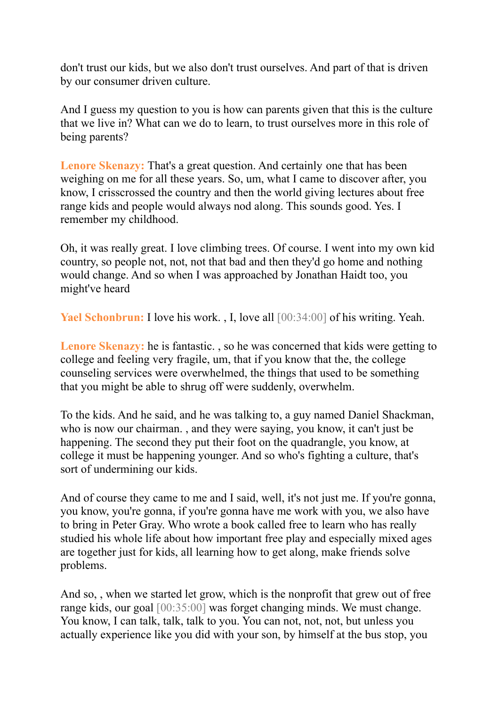don't trust our kids, but we also don't trust ourselves. And part of that is driven by our consumer driven culture.

And I guess my question to you is how can parents given that this is the culture that we live in? What can we do to learn, to trust ourselves more in this role of being parents?

**Lenore Skenazy:** That's a great question. And certainly one that has been weighing on me for all these years. So, um, what I came to discover after, you know, I crisscrossed the country and then the world giving lectures about free range kids and people would always nod along. This sounds good. Yes. I remember my childhood.

Oh, it was really great. I love climbing trees. Of course. I went into my own kid country, so people not, not, not that bad and then they'd go home and nothing would change. And so when I was approached by Jonathan Haidt too, you might've heard

**Yael Schonbrun:** I love his work. , I, love all [00:34:00] of his writing. Yeah.

**Lenore Skenazy:** he is fantastic. , so he was concerned that kids were getting to college and feeling very fragile, um, that if you know that the, the college counseling services were overwhelmed, the things that used to be something that you might be able to shrug off were suddenly, overwhelm.

To the kids. And he said, and he was talking to, a guy named Daniel Shackman, who is now our chairman. , and they were saying, you know, it can't just be happening. The second they put their foot on the quadrangle, you know, at college it must be happening younger. And so who's fighting a culture, that's sort of undermining our kids.

And of course they came to me and I said, well, it's not just me. If you're gonna, you know, you're gonna, if you're gonna have me work with you, we also have to bring in Peter Gray. Who wrote a book called free to learn who has really studied his whole life about how important free play and especially mixed ages are together just for kids, all learning how to get along, make friends solve problems.

And so, , when we started let grow, which is the nonprofit that grew out of free range kids, our goal [00:35:00] was forget changing minds. We must change. You know, I can talk, talk, talk to you. You can not, not, not, but unless you actually experience like you did with your son, by himself at the bus stop, you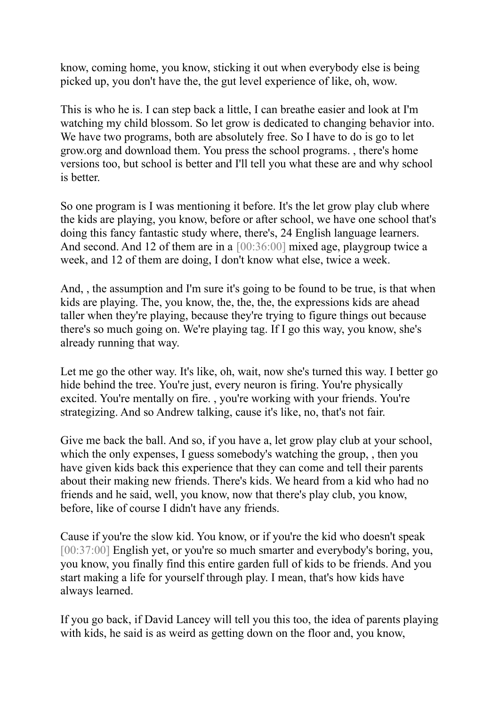know, coming home, you know, sticking it out when everybody else is being picked up, you don't have the, the gut level experience of like, oh, wow.

This is who he is. I can step back a little, I can breathe easier and look at I'm watching my child blossom. So let grow is dedicated to changing behavior into. We have two programs, both are absolutely free. So I have to do is go to let grow.org and download them. You press the school programs. , there's home versions too, but school is better and I'll tell you what these are and why school is better.

So one program is I was mentioning it before. It's the let grow play club where the kids are playing, you know, before or after school, we have one school that's doing this fancy fantastic study where, there's, 24 English language learners. And second. And 12 of them are in a [00:36:00] mixed age, playgroup twice a week, and 12 of them are doing, I don't know what else, twice a week.

And, , the assumption and I'm sure it's going to be found to be true, is that when kids are playing. The, you know, the, the, the, the expressions kids are ahead taller when they're playing, because they're trying to figure things out because there's so much going on. We're playing tag. If I go this way, you know, she's already running that way.

Let me go the other way. It's like, oh, wait, now she's turned this way. I better go hide behind the tree. You're just, every neuron is firing. You're physically excited. You're mentally on fire. , you're working with your friends. You're strategizing. And so Andrew talking, cause it's like, no, that's not fair.

Give me back the ball. And so, if you have a, let grow play club at your school, which the only expenses, I guess somebody's watching the group, , then you have given kids back this experience that they can come and tell their parents about their making new friends. There's kids. We heard from a kid who had no friends and he said, well, you know, now that there's play club, you know, before, like of course I didn't have any friends.

Cause if you're the slow kid. You know, or if you're the kid who doesn't speak [00:37:00] English yet, or you're so much smarter and everybody's boring, you, you know, you finally find this entire garden full of kids to be friends. And you start making a life for yourself through play. I mean, that's how kids have always learned.

If you go back, if David Lancey will tell you this too, the idea of parents playing with kids, he said is as weird as getting down on the floor and, you know,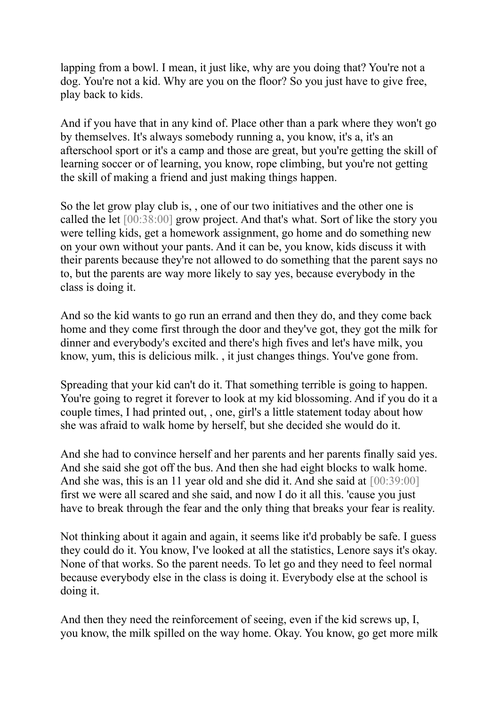lapping from a bowl. I mean, it just like, why are you doing that? You're not a dog. You're not a kid. Why are you on the floor? So you just have to give free, play back to kids.

And if you have that in any kind of. Place other than a park where they won't go by themselves. It's always somebody running a, you know, it's a, it's an afterschool sport or it's a camp and those are great, but you're getting the skill of learning soccer or of learning, you know, rope climbing, but you're not getting the skill of making a friend and just making things happen.

So the let grow play club is, , one of our two initiatives and the other one is called the let [00:38:00] grow project. And that's what. Sort of like the story you were telling kids, get a homework assignment, go home and do something new on your own without your pants. And it can be, you know, kids discuss it with their parents because they're not allowed to do something that the parent says no to, but the parents are way more likely to say yes, because everybody in the class is doing it.

And so the kid wants to go run an errand and then they do, and they come back home and they come first through the door and they've got, they got the milk for dinner and everybody's excited and there's high fives and let's have milk, you know, yum, this is delicious milk. , it just changes things. You've gone from.

Spreading that your kid can't do it. That something terrible is going to happen. You're going to regret it forever to look at my kid blossoming. And if you do it a couple times, I had printed out, , one, girl's a little statement today about how she was afraid to walk home by herself, but she decided she would do it.

And she had to convince herself and her parents and her parents finally said yes. And she said she got off the bus. And then she had eight blocks to walk home. And she was, this is an 11 year old and she did it. And she said at  $[00:39:00]$ first we were all scared and she said, and now I do it all this. 'cause you just have to break through the fear and the only thing that breaks your fear is reality.

Not thinking about it again and again, it seems like it'd probably be safe. I guess they could do it. You know, I've looked at all the statistics, Lenore says it's okay. None of that works. So the parent needs. To let go and they need to feel normal because everybody else in the class is doing it. Everybody else at the school is doing it.

And then they need the reinforcement of seeing, even if the kid screws up, I, you know, the milk spilled on the way home. Okay. You know, go get more milk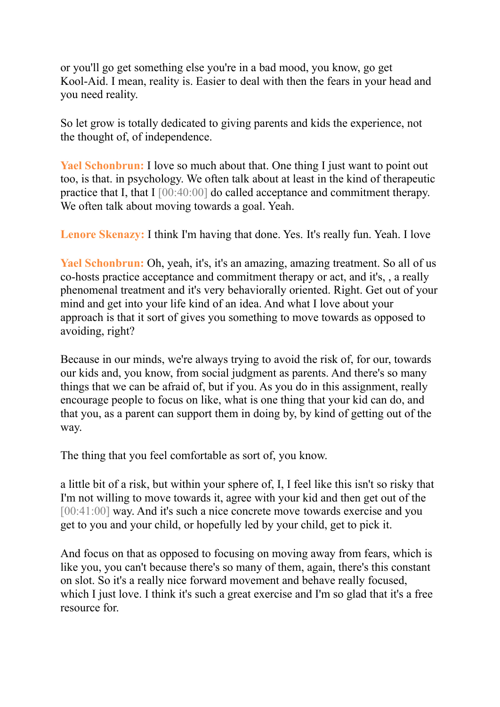or you'll go get something else you're in a bad mood, you know, go get Kool-Aid. I mean, reality is. Easier to deal with then the fears in your head and you need reality.

So let grow is totally dedicated to giving parents and kids the experience, not the thought of, of independence.

**Yael Schonbrun:** I love so much about that. One thing I just want to point out too, is that. in psychology. We often talk about at least in the kind of therapeutic practice that I, that I [00:40:00] do called acceptance and commitment therapy. We often talk about moving towards a goal. Yeah.

**Lenore Skenazy:** I think I'm having that done. Yes. It's really fun. Yeah. I love

**Yael Schonbrun:** Oh, yeah, it's, it's an amazing, amazing treatment. So all of us co-hosts practice acceptance and commitment therapy or act, and it's, , a really phenomenal treatment and it's very behaviorally oriented. Right. Get out of your mind and get into your life kind of an idea. And what I love about your approach is that it sort of gives you something to move towards as opposed to avoiding, right?

Because in our minds, we're always trying to avoid the risk of, for our, towards our kids and, you know, from social judgment as parents. And there's so many things that we can be afraid of, but if you. As you do in this assignment, really encourage people to focus on like, what is one thing that your kid can do, and that you, as a parent can support them in doing by, by kind of getting out of the way.

The thing that you feel comfortable as sort of, you know.

a little bit of a risk, but within your sphere of, I, I feel like this isn't so risky that I'm not willing to move towards it, agree with your kid and then get out of the [00:41:00] way. And it's such a nice concrete move towards exercise and you get to you and your child, or hopefully led by your child, get to pick it.

And focus on that as opposed to focusing on moving away from fears, which is like you, you can't because there's so many of them, again, there's this constant on slot. So it's a really nice forward movement and behave really focused, which I just love. I think it's such a great exercise and I'm so glad that it's a free resource for.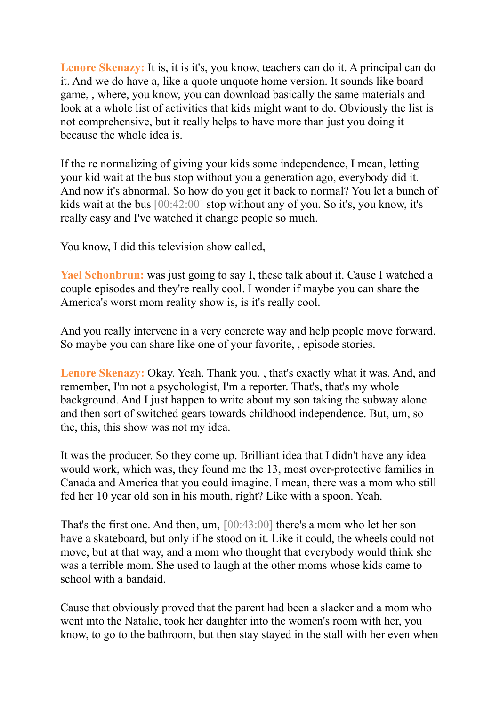**Lenore Skenazy:** It is, it is it's, you know, teachers can do it. A principal can do it. And we do have a, like a quote unquote home version. It sounds like board game, , where, you know, you can download basically the same materials and look at a whole list of activities that kids might want to do. Obviously the list is not comprehensive, but it really helps to have more than just you doing it because the whole idea is.

If the re normalizing of giving your kids some independence, I mean, letting your kid wait at the bus stop without you a generation ago, everybody did it. And now it's abnormal. So how do you get it back to normal? You let a bunch of kids wait at the bus [00:42:00] stop without any of you. So it's, you know, it's really easy and I've watched it change people so much.

You know, I did this television show called,

**Yael Schonbrun:** was just going to say I, these talk about it. Cause I watched a couple episodes and they're really cool. I wonder if maybe you can share the America's worst mom reality show is, is it's really cool.

And you really intervene in a very concrete way and help people move forward. So maybe you can share like one of your favorite, , episode stories.

**Lenore Skenazy:** Okay. Yeah. Thank you. , that's exactly what it was. And, and remember, I'm not a psychologist, I'm a reporter. That's, that's my whole background. And I just happen to write about my son taking the subway alone and then sort of switched gears towards childhood independence. But, um, so the, this, this show was not my idea.

It was the producer. So they come up. Brilliant idea that I didn't have any idea would work, which was, they found me the 13, most over-protective families in Canada and America that you could imagine. I mean, there was a mom who still fed her 10 year old son in his mouth, right? Like with a spoon. Yeah.

That's the first one. And then, um, [00:43:00] there's a mom who let her son have a skateboard, but only if he stood on it. Like it could, the wheels could not move, but at that way, and a mom who thought that everybody would think she was a terrible mom. She used to laugh at the other moms whose kids came to school with a bandaid.

Cause that obviously proved that the parent had been a slacker and a mom who went into the Natalie, took her daughter into the women's room with her, you know, to go to the bathroom, but then stay stayed in the stall with her even when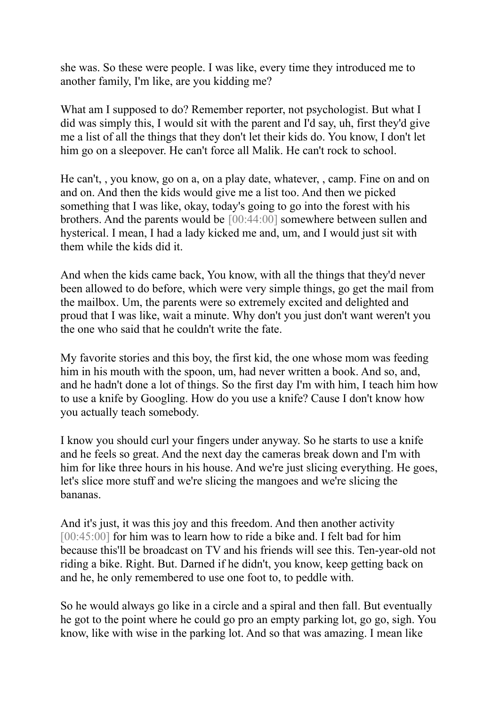she was. So these were people. I was like, every time they introduced me to another family, I'm like, are you kidding me?

What am I supposed to do? Remember reporter, not psychologist. But what I did was simply this, I would sit with the parent and I'd say, uh, first they'd give me a list of all the things that they don't let their kids do. You know, I don't let him go on a sleepover. He can't force all Malik. He can't rock to school.

He can't, , you know, go on a, on a play date, whatever, , camp. Fine on and on and on. And then the kids would give me a list too. And then we picked something that I was like, okay, today's going to go into the forest with his brothers. And the parents would be [00:44:00] somewhere between sullen and hysterical. I mean, I had a lady kicked me and, um, and I would just sit with them while the kids did it.

And when the kids came back, You know, with all the things that they'd never been allowed to do before, which were very simple things, go get the mail from the mailbox. Um, the parents were so extremely excited and delighted and proud that I was like, wait a minute. Why don't you just don't want weren't you the one who said that he couldn't write the fate.

My favorite stories and this boy, the first kid, the one whose mom was feeding him in his mouth with the spoon, um, had never written a book. And so, and, and he hadn't done a lot of things. So the first day I'm with him, I teach him how to use a knife by Googling. How do you use a knife? Cause I don't know how you actually teach somebody.

I know you should curl your fingers under anyway. So he starts to use a knife and he feels so great. And the next day the cameras break down and I'm with him for like three hours in his house. And we're just slicing everything. He goes, let's slice more stuff and we're slicing the mangoes and we're slicing the bananas.

And it's just, it was this joy and this freedom. And then another activity [00:45:00] for him was to learn how to ride a bike and. I felt bad for him because this'll be broadcast on TV and his friends will see this. Ten-year-old not riding a bike. Right. But. Darned if he didn't, you know, keep getting back on and he, he only remembered to use one foot to, to peddle with.

So he would always go like in a circle and a spiral and then fall. But eventually he got to the point where he could go pro an empty parking lot, go go, sigh. You know, like with wise in the parking lot. And so that was amazing. I mean like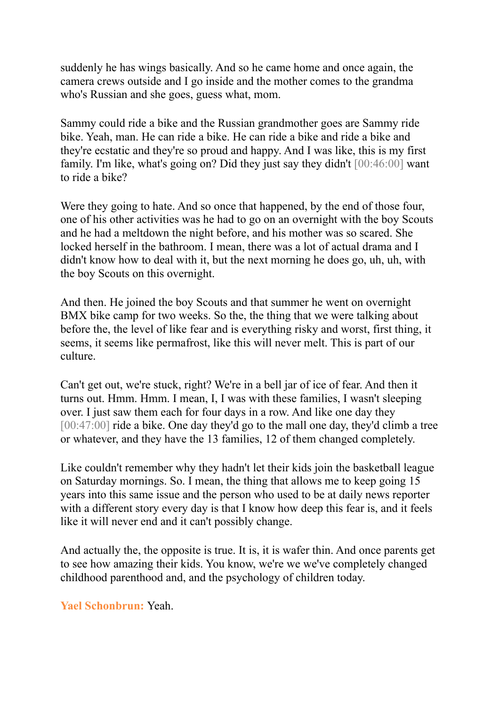suddenly he has wings basically. And so he came home and once again, the camera crews outside and I go inside and the mother comes to the grandma who's Russian and she goes, guess what, mom.

Sammy could ride a bike and the Russian grandmother goes are Sammy ride bike. Yeah, man. He can ride a bike. He can ride a bike and ride a bike and they're ecstatic and they're so proud and happy. And I was like, this is my first family. I'm like, what's going on? Did they just say they didn't [00:46:00] want to ride a bike?

Were they going to hate. And so once that happened, by the end of those four, one of his other activities was he had to go on an overnight with the boy Scouts and he had a meltdown the night before, and his mother was so scared. She locked herself in the bathroom. I mean, there was a lot of actual drama and I didn't know how to deal with it, but the next morning he does go, uh, uh, with the boy Scouts on this overnight.

And then. He joined the boy Scouts and that summer he went on overnight BMX bike camp for two weeks. So the, the thing that we were talking about before the, the level of like fear and is everything risky and worst, first thing, it seems, it seems like permafrost, like this will never melt. This is part of our culture.

Can't get out, we're stuck, right? We're in a bell jar of ice of fear. And then it turns out. Hmm. Hmm. I mean, I, I was with these families, I wasn't sleeping over. I just saw them each for four days in a row. And like one day they [00:47:00] ride a bike. One day they'd go to the mall one day, they'd climb a tree or whatever, and they have the 13 families, 12 of them changed completely.

Like couldn't remember why they hadn't let their kids join the basketball league on Saturday mornings. So. I mean, the thing that allows me to keep going 15 years into this same issue and the person who used to be at daily news reporter with a different story every day is that I know how deep this fear is, and it feels like it will never end and it can't possibly change.

And actually the, the opposite is true. It is, it is wafer thin. And once parents get to see how amazing their kids. You know, we're we we've completely changed childhood parenthood and, and the psychology of children today.

**Yael Schonbrun:** Yeah.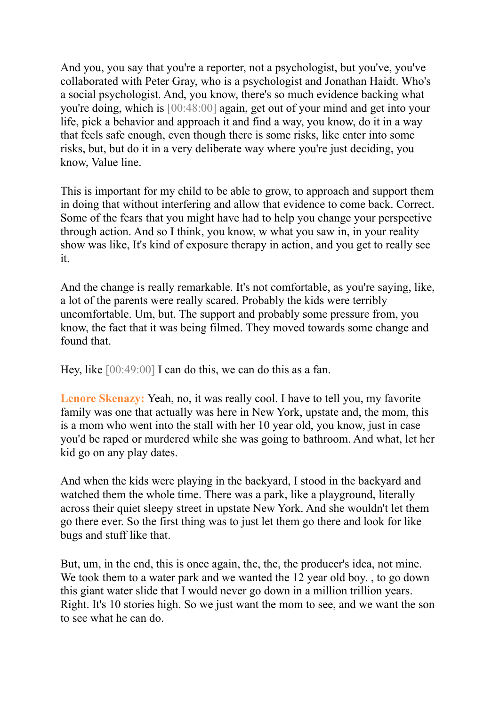And you, you say that you're a reporter, not a psychologist, but you've, you've collaborated with Peter Gray, who is a psychologist and Jonathan Haidt. Who's a social psychologist. And, you know, there's so much evidence backing what you're doing, which is [00:48:00] again, get out of your mind and get into your life, pick a behavior and approach it and find a way, you know, do it in a way that feels safe enough, even though there is some risks, like enter into some risks, but, but do it in a very deliberate way where you're just deciding, you know, Value line.

This is important for my child to be able to grow, to approach and support them in doing that without interfering and allow that evidence to come back. Correct. Some of the fears that you might have had to help you change your perspective through action. And so I think, you know, w what you saw in, in your reality show was like, It's kind of exposure therapy in action, and you get to really see it.

And the change is really remarkable. It's not comfortable, as you're saying, like, a lot of the parents were really scared. Probably the kids were terribly uncomfortable. Um, but. The support and probably some pressure from, you know, the fact that it was being filmed. They moved towards some change and found that.

Hey, like  $[00:49:00]$  I can do this, we can do this as a fan.

**Lenore Skenazy:** Yeah, no, it was really cool. I have to tell you, my favorite family was one that actually was here in New York, upstate and, the mom, this is a mom who went into the stall with her 10 year old, you know, just in case you'd be raped or murdered while she was going to bathroom. And what, let her kid go on any play dates.

And when the kids were playing in the backyard, I stood in the backyard and watched them the whole time. There was a park, like a playground, literally across their quiet sleepy street in upstate New York. And she wouldn't let them go there ever. So the first thing was to just let them go there and look for like bugs and stuff like that.

But, um, in the end, this is once again, the, the, the producer's idea, not mine. We took them to a water park and we wanted the 12 year old boy., to go down this giant water slide that I would never go down in a million trillion years. Right. It's 10 stories high. So we just want the mom to see, and we want the son to see what he can do.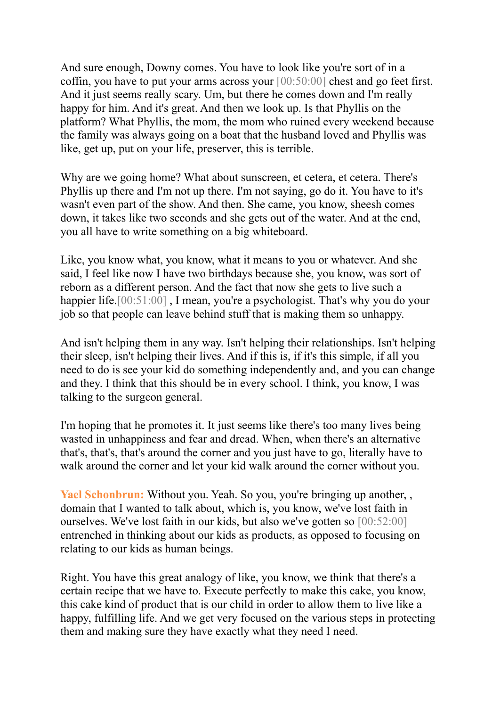And sure enough, Downy comes. You have to look like you're sort of in a coffin, you have to put your arms across your [00:50:00] chest and go feet first. And it just seems really scary. Um, but there he comes down and I'm really happy for him. And it's great. And then we look up. Is that Phyllis on the platform? What Phyllis, the mom, the mom who ruined every weekend because the family was always going on a boat that the husband loved and Phyllis was like, get up, put on your life, preserver, this is terrible.

Why are we going home? What about sunscreen, et cetera, et cetera. There's Phyllis up there and I'm not up there. I'm not saying, go do it. You have to it's wasn't even part of the show. And then. She came, you know, sheesh comes down, it takes like two seconds and she gets out of the water. And at the end, you all have to write something on a big whiteboard.

Like, you know what, you know, what it means to you or whatever. And she said, I feel like now I have two birthdays because she, you know, was sort of reborn as a different person. And the fact that now she gets to live such a happier life.<sup>[00:51:00]</sup>, I mean, you're a psychologist. That's why you do your job so that people can leave behind stuff that is making them so unhappy.

And isn't helping them in any way. Isn't helping their relationships. Isn't helping their sleep, isn't helping their lives. And if this is, if it's this simple, if all you need to do is see your kid do something independently and, and you can change and they. I think that this should be in every school. I think, you know, I was talking to the surgeon general.

I'm hoping that he promotes it. It just seems like there's too many lives being wasted in unhappiness and fear and dread. When, when there's an alternative that's, that's, that's around the corner and you just have to go, literally have to walk around the corner and let your kid walk around the corner without you.

Yael Schonbrun: Without you. Yeah. So you, you're bringing up another, , domain that I wanted to talk about, which is, you know, we've lost faith in ourselves. We've lost faith in our kids, but also we've gotten so [00:52:00] entrenched in thinking about our kids as products, as opposed to focusing on relating to our kids as human beings.

Right. You have this great analogy of like, you know, we think that there's a certain recipe that we have to. Execute perfectly to make this cake, you know, this cake kind of product that is our child in order to allow them to live like a happy, fulfilling life. And we get very focused on the various steps in protecting them and making sure they have exactly what they need I need.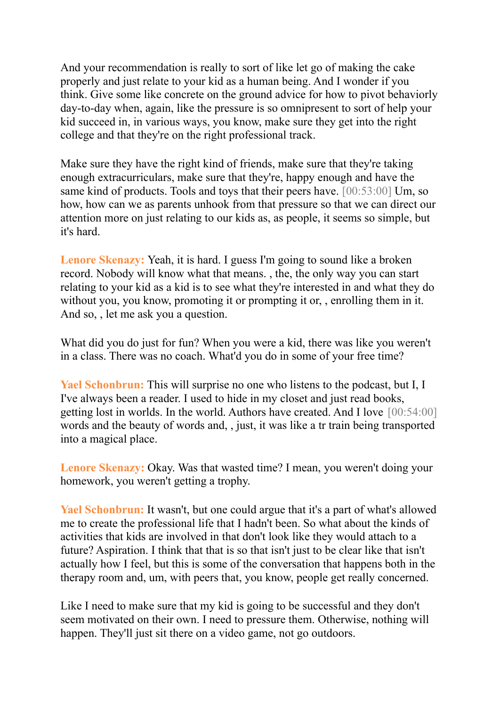And your recommendation is really to sort of like let go of making the cake properly and just relate to your kid as a human being. And I wonder if you think. Give some like concrete on the ground advice for how to pivot behaviorly day-to-day when, again, like the pressure is so omnipresent to sort of help your kid succeed in, in various ways, you know, make sure they get into the right college and that they're on the right professional track.

Make sure they have the right kind of friends, make sure that they're taking enough extracurriculars, make sure that they're, happy enough and have the same kind of products. Tools and toys that their peers have. [00:53:00] Um, so how, how can we as parents unhook from that pressure so that we can direct our attention more on just relating to our kids as, as people, it seems so simple, but it's hard.

**Lenore Skenazy:** Yeah, it is hard. I guess I'm going to sound like a broken record. Nobody will know what that means. , the, the only way you can start relating to your kid as a kid is to see what they're interested in and what they do without you, you know, promoting it or prompting it or, , enrolling them in it. And so, , let me ask you a question.

What did you do just for fun? When you were a kid, there was like you weren't in a class. There was no coach. What'd you do in some of your free time?

**Yael Schonbrun:** This will surprise no one who listens to the podcast, but I, I I've always been a reader. I used to hide in my closet and just read books, getting lost in worlds. In the world. Authors have created. And I love [00:54:00] words and the beauty of words and, , just, it was like a tr train being transported into a magical place.

**Lenore Skenazy:** Okay. Was that wasted time? I mean, you weren't doing your homework, you weren't getting a trophy.

**Yael Schonbrun:** It wasn't, but one could argue that it's a part of what's allowed me to create the professional life that I hadn't been. So what about the kinds of activities that kids are involved in that don't look like they would attach to a future? Aspiration. I think that that is so that isn't just to be clear like that isn't actually how I feel, but this is some of the conversation that happens both in the therapy room and, um, with peers that, you know, people get really concerned.

Like I need to make sure that my kid is going to be successful and they don't seem motivated on their own. I need to pressure them. Otherwise, nothing will happen. They'll just sit there on a video game, not go outdoors.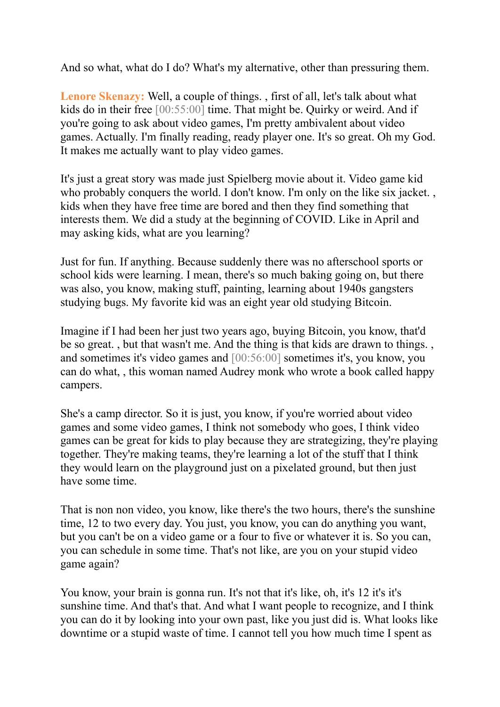And so what, what do I do? What's my alternative, other than pressuring them.

**Lenore Skenazy:** Well, a couple of things. , first of all, let's talk about what kids do in their free [00:55:00] time. That might be. Quirky or weird. And if you're going to ask about video games, I'm pretty ambivalent about video games. Actually. I'm finally reading, ready player one. It's so great. Oh my God. It makes me actually want to play video games.

It's just a great story was made just Spielberg movie about it. Video game kid who probably conquers the world. I don't know. I'm only on the like six jacket. kids when they have free time are bored and then they find something that interests them. We did a study at the beginning of COVID. Like in April and may asking kids, what are you learning?

Just for fun. If anything. Because suddenly there was no afterschool sports or school kids were learning. I mean, there's so much baking going on, but there was also, you know, making stuff, painting, learning about 1940s gangsters studying bugs. My favorite kid was an eight year old studying Bitcoin.

Imagine if I had been her just two years ago, buying Bitcoin, you know, that'd be so great. , but that wasn't me. And the thing is that kids are drawn to things. , and sometimes it's video games and [00:56:00] sometimes it's, you know, you can do what, , this woman named Audrey monk who wrote a book called happy campers.

She's a camp director. So it is just, you know, if you're worried about video games and some video games, I think not somebody who goes, I think video games can be great for kids to play because they are strategizing, they're playing together. They're making teams, they're learning a lot of the stuff that I think they would learn on the playground just on a pixelated ground, but then just have some time.

That is non non video, you know, like there's the two hours, there's the sunshine time, 12 to two every day. You just, you know, you can do anything you want, but you can't be on a video game or a four to five or whatever it is. So you can, you can schedule in some time. That's not like, are you on your stupid video game again?

You know, your brain is gonna run. It's not that it's like, oh, it's 12 it's it's sunshine time. And that's that. And what I want people to recognize, and I think you can do it by looking into your own past, like you just did is. What looks like downtime or a stupid waste of time. I cannot tell you how much time I spent as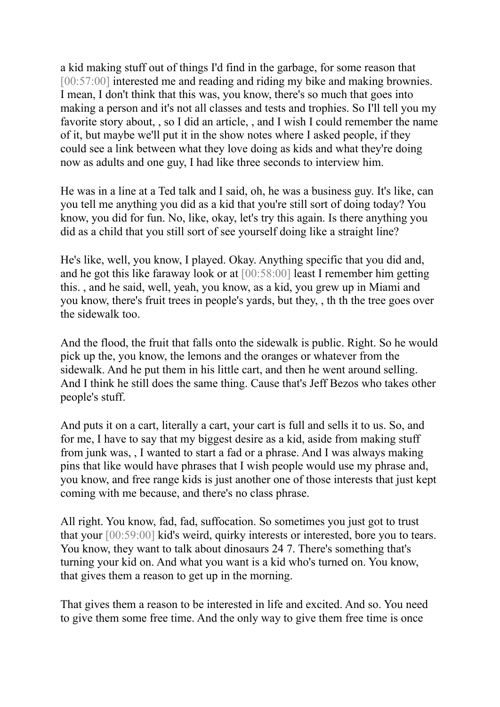a kid making stuff out of things I'd find in the garbage, for some reason that [00:57:00] interested me and reading and riding my bike and making brownies. I mean, I don't think that this was, you know, there's so much that goes into making a person and it's not all classes and tests and trophies. So I'll tell you my favorite story about, , so I did an article, , and I wish I could remember the name of it, but maybe we'll put it in the show notes where I asked people, if they could see a link between what they love doing as kids and what they're doing now as adults and one guy, I had like three seconds to interview him.

He was in a line at a Ted talk and I said, oh, he was a business guy. It's like, can you tell me anything you did as a kid that you're still sort of doing today? You know, you did for fun. No, like, okay, let's try this again. Is there anything you did as a child that you still sort of see yourself doing like a straight line?

He's like, well, you know, I played. Okay. Anything specific that you did and, and he got this like faraway look or at [00:58:00] least I remember him getting this. , and he said, well, yeah, you know, as a kid, you grew up in Miami and you know, there's fruit trees in people's yards, but they, , th th the tree goes over the sidewalk too.

And the flood, the fruit that falls onto the sidewalk is public. Right. So he would pick up the, you know, the lemons and the oranges or whatever from the sidewalk. And he put them in his little cart, and then he went around selling. And I think he still does the same thing. Cause that's Jeff Bezos who takes other people's stuff.

And puts it on a cart, literally a cart, your cart is full and sells it to us. So, and for me, I have to say that my biggest desire as a kid, aside from making stuff from junk was, , I wanted to start a fad or a phrase. And I was always making pins that like would have phrases that I wish people would use my phrase and, you know, and free range kids is just another one of those interests that just kept coming with me because, and there's no class phrase.

All right. You know, fad, fad, suffocation. So sometimes you just got to trust that your [00:59:00] kid's weird, quirky interests or interested, bore you to tears. You know, they want to talk about dinosaurs 24 7. There's something that's turning your kid on. And what you want is a kid who's turned on. You know, that gives them a reason to get up in the morning.

That gives them a reason to be interested in life and excited. And so. You need to give them some free time. And the only way to give them free time is once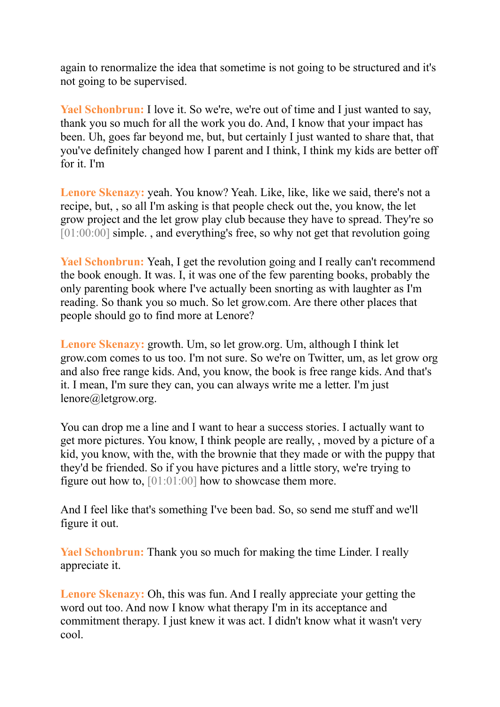again to renormalize the idea that sometime is not going to be structured and it's not going to be supervised.

Yael Schonbrun: I love it. So we're, we're out of time and I just wanted to say, thank you so much for all the work you do. And, I know that your impact has been. Uh, goes far beyond me, but, but certainly I just wanted to share that, that you've definitely changed how I parent and I think, I think my kids are better off for it. I'm

**Lenore Skenazy:** yeah. You know? Yeah. Like, like, like we said, there's not a recipe, but, , so all I'm asking is that people check out the, you know, the let grow project and the let grow play club because they have to spread. They're so [01:00:00] simple., and everything's free, so why not get that revolution going

**Yael Schonbrun:** Yeah, I get the revolution going and I really can't recommend the book enough. It was. I, it was one of the few parenting books, probably the only parenting book where I've actually been snorting as with laughter as I'm reading. So thank you so much. So let grow.com. Are there other places that people should go to find more at Lenore?

**Lenore Skenazy:** growth. Um, so let grow.org. Um, although I think let grow.com comes to us too. I'm not sure. So we're on Twitter, um, as let grow org and also free range kids. And, you know, the book is free range kids. And that's it. I mean, I'm sure they can, you can always write me a letter. I'm just lenore@letgrow.org.

You can drop me a line and I want to hear a success stories. I actually want to get more pictures. You know, I think people are really, , moved by a picture of a kid, you know, with the, with the brownie that they made or with the puppy that they'd be friended. So if you have pictures and a little story, we're trying to figure out how to, [01:01:00] how to showcase them more.

And I feel like that's something I've been bad. So, so send me stuff and we'll figure it out.

**Yael Schonbrun:** Thank you so much for making the time Linder. I really appreciate it.

**Lenore Skenazy:** Oh, this was fun. And I really appreciate your getting the word out too. And now I know what therapy I'm in its acceptance and commitment therapy. I just knew it was act. I didn't know what it wasn't very cool.